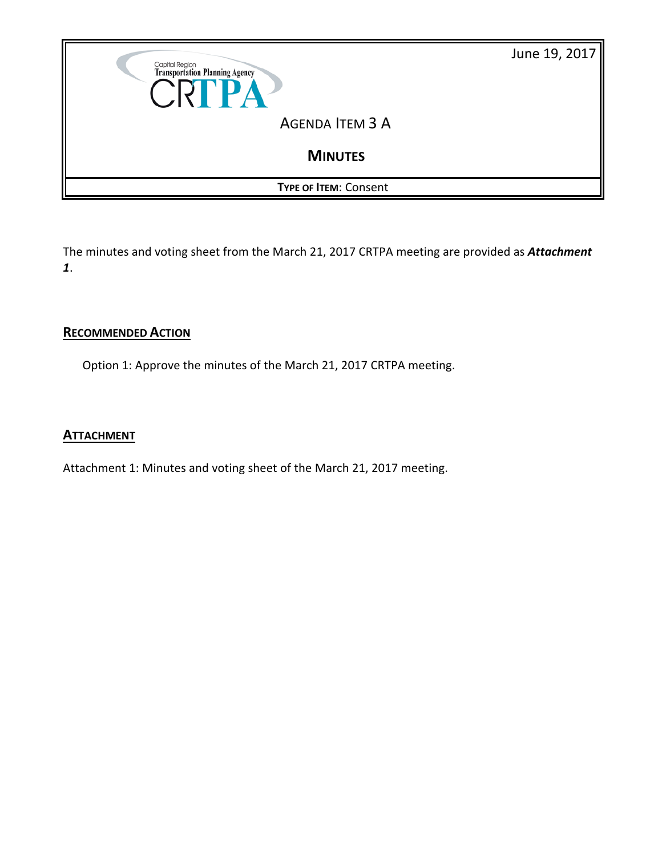

The minutes and voting sheet from the March 21, 2017 CRTPA meeting are provided as *Attachment 1*.

#### **RECOMMENDED ACTION**

Option 1: Approve the minutes of the March 21, 2017 CRTPA meeting.

#### **ATTACHMENT**

Attachment 1: Minutes and voting sheet of the March 21, 2017 meeting.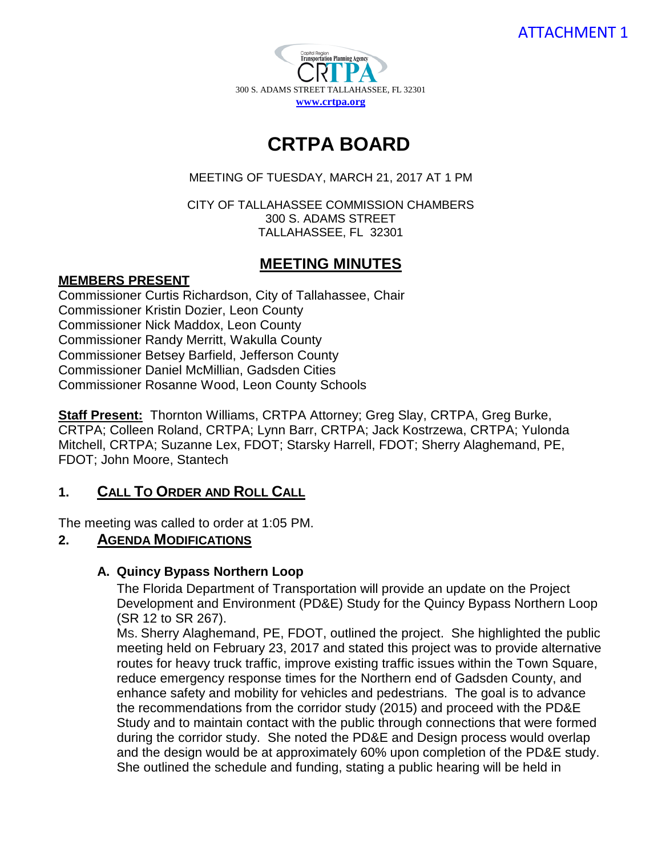

# **CRTPA BOARD**

#### MEETING OF TUESDAY, MARCH 21, 2017 AT 1 PM

CITY OF TALLAHASSEE COMMISSION CHAMBERS 300 S. ADAMS STREET TALLAHASSEE, FL 32301

# **MEETING MINUTES**

## **MEMBERS PRESENT**

Commissioner Curtis Richardson, City of Tallahassee, Chair Commissioner Kristin Dozier, Leon County Commissioner Nick Maddox, Leon County Commissioner Randy Merritt, Wakulla County Commissioner Betsey Barfield, Jefferson County Commissioner Daniel McMillian, Gadsden Cities Commissioner Rosanne Wood, Leon County Schools

**Staff Present:** Thornton Williams, CRTPA Attorney; Greg Slay, CRTPA, Greg Burke, CRTPA; Colleen Roland, CRTPA; Lynn Barr, CRTPA; Jack Kostrzewa, CRTPA; Yulonda Mitchell, CRTPA; Suzanne Lex, FDOT; Starsky Harrell, FDOT; Sherry Alaghemand, PE, FDOT; John Moore, Stantech

## **1. CALL TO ORDER AND ROLL CALL**

The meeting was called to order at 1:05 PM.

## **2. AGENDA MODIFICATIONS**

## **A. Quincy Bypass Northern Loop**

The Florida Department of Transportation will provide an update on the Project Development and Environment (PD&E) Study for the Quincy Bypass Northern Loop (SR 12 to SR 267).

MS. Sherry Alaghemand, PE, FDOT, outlined the project. She highlighted the public meeting held on February 23, 2017 and stated this project was to provide alternative routes for heavy truck traffic, improve existing traffic issues within the Town Square, reduce emergency response times for the Northern end of Gadsden County, and enhance safety and mobility for vehicles and pedestrians. The goal is to advance the recommendations from the corridor study (2015) and proceed with the PD&E Study and to maintain contact with the public through connections that were formed during the corridor study. She noted the PD&E and Design process would overlap and the design would be at approximately 60% upon completion of the PD&E study. She outlined the schedule and funding, stating a public hearing will be held in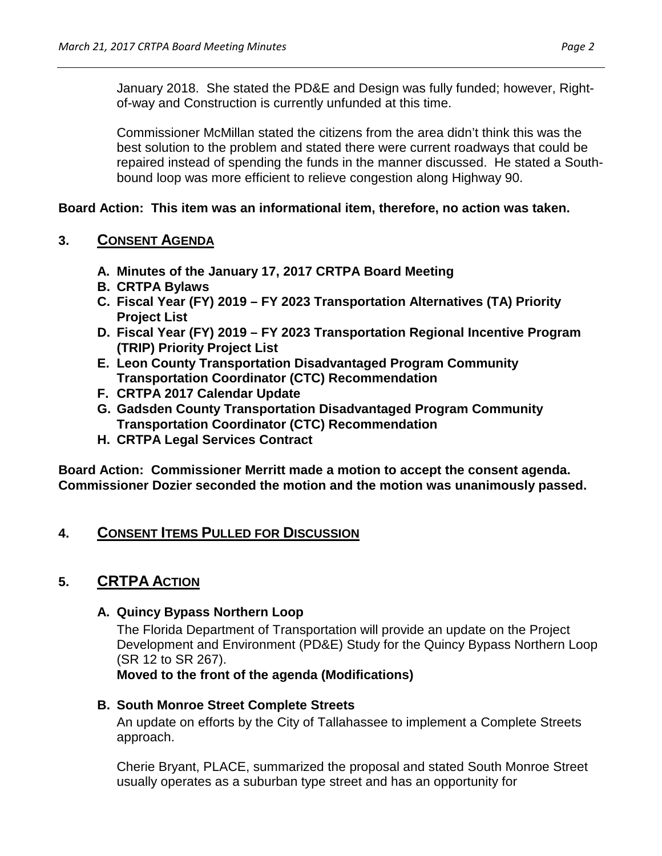January 2018. She stated the PD&E and Design was fully funded; however, Rightof-way and Construction is currently unfunded at this time.

Commissioner McMillan stated the citizens from the area didn't think this was the best solution to the problem and stated there were current roadways that could be repaired instead of spending the funds in the manner discussed. He stated a Southbound loop was more efficient to relieve congestion along Highway 90.

## **Board Action: This item was an informational item, therefore, no action was taken.**

## **3. CONSENT AGENDA**

- **A. Minutes of the January 17, 2017 CRTPA Board Meeting**
- **B. CRTPA Bylaws**
- **C. Fiscal Year (FY) 2019 – FY 2023 Transportation Alternatives (TA) Priority Project List**
- **D. Fiscal Year (FY) 2019 – FY 2023 Transportation Regional Incentive Program (TRIP) Priority Project List**
- **E. Leon County Transportation Disadvantaged Program Community Transportation Coordinator (CTC) Recommendation**
- **F. CRTPA 2017 Calendar Update**
- **G. Gadsden County Transportation Disadvantaged Program Community Transportation Coordinator (CTC) Recommendation**
- **H. CRTPA Legal Services Contract**

**Board Action: Commissioner Merritt made a motion to accept the consent agenda. Commissioner Dozier seconded the motion and the motion was unanimously passed.** 

# **4. CONSENT ITEMS PULLED FOR DISCUSSION**

# **5. CRTPA ACTION**

## **A. Quincy Bypass Northern Loop**

The Florida Department of Transportation will provide an update on the Project Development and Environment (PD&E) Study for the Quincy Bypass Northern Loop (SR 12 to SR 267).

**Moved to the front of the agenda (Modifications)**

## **B. South Monroe Street Complete Streets**

An update on efforts by the City of Tallahassee to implement a Complete Streets approach.

Cherie Bryant, PLACE, summarized the proposal and stated South Monroe Street usually operates as a suburban type street and has an opportunity for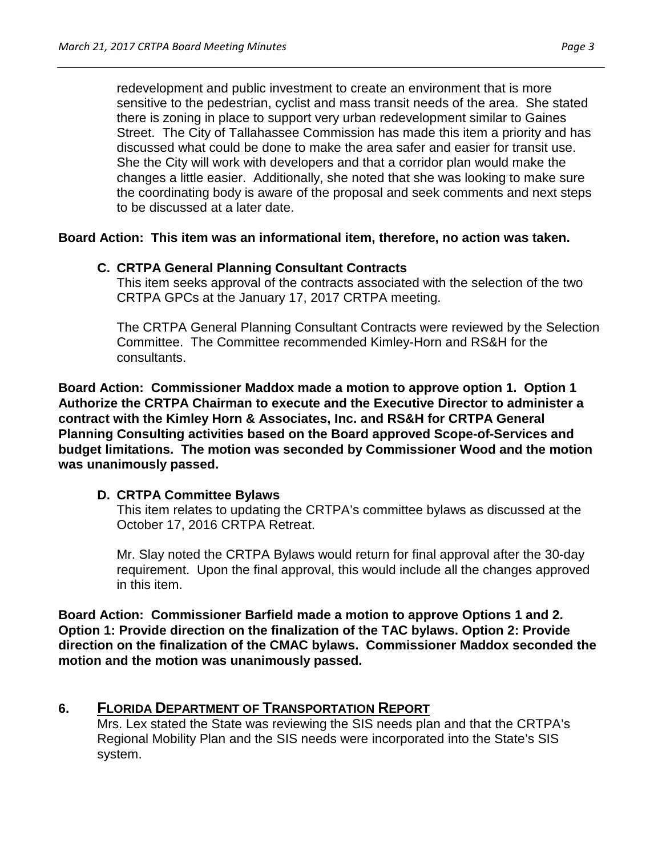redevelopment and public investment to create an environment that is more sensitive to the pedestrian, cyclist and mass transit needs of the area. She stated there is zoning in place to support very urban redevelopment similar to Gaines Street. The City of Tallahassee Commission has made this item a priority and has discussed what could be done to make the area safer and easier for transit use. She the City will work with developers and that a corridor plan would make the changes a little easier. Additionally, she noted that she was looking to make sure the coordinating body is aware of the proposal and seek comments and next steps to be discussed at a later date.

**Board Action: This item was an informational item, therefore, no action was taken.** 

## **C. CRTPA General Planning Consultant Contracts**

This item seeks approval of the contracts associated with the selection of the two CRTPA GPCs at the January 17, 2017 CRTPA meeting.

The CRTPA General Planning Consultant Contracts were reviewed by the Selection Committee. The Committee recommended Kimley-Horn and RS&H for the consultants.

**Board Action: Commissioner Maddox made a motion to approve option 1. Option 1 Authorize the CRTPA Chairman to execute and the Executive Director to administer a contract with the Kimley Horn & Associates, Inc. and RS&H for CRTPA General Planning Consulting activities based on the Board approved Scope-of-Services and budget limitations. The motion was seconded by Commissioner Wood and the motion was unanimously passed.** 

## **D. CRTPA Committee Bylaws**

This item relates to updating the CRTPA's committee bylaws as discussed at the October 17, 2016 CRTPA Retreat.

Mr. Slay noted the CRTPA Bylaws would return for final approval after the 30-day requirement. Upon the final approval, this would include all the changes approved in this item.

**Board Action: Commissioner Barfield made a motion to approve Options 1 and 2. Option 1: Provide direction on the finalization of the TAC bylaws. Option 2: Provide direction on the finalization of the CMAC bylaws. Commissioner Maddox seconded the motion and the motion was unanimously passed.** 

# **6. FLORIDA DEPARTMENT OF TRANSPORTATION REPORT**

Mrs. Lex stated the State was reviewing the SIS needs plan and that the CRTPA's Regional Mobility Plan and the SIS needs were incorporated into the State's SIS system.